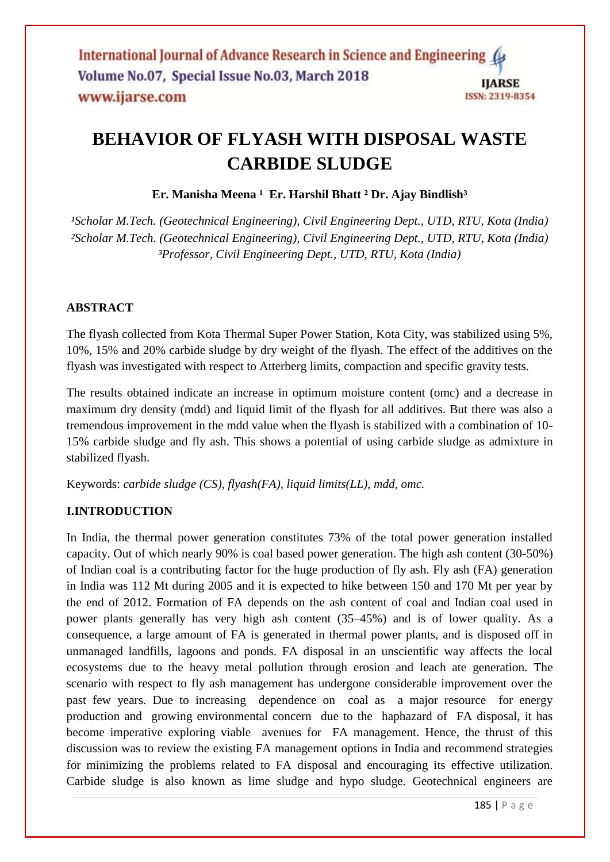# **BEHAVIOR OF FLYASH WITH DISPOSAL WASTE CARBIDE SLUDGE**

**Er. Manisha Meena ¹ Er. Harshil Bhatt ² Dr. Ajay Bindlish³**

<sup>1</sup>Scholar M.Tech. (Geotechnical Engineering), Civil Engineering Dept., UTD, RTU, Kota (India) *²Scholar M.Tech. (Geotechnical Engineering), Civil Engineering Dept., UTD, RTU, Kota (India) ³Professor, Civil Engineering Dept., UTD, RTU, Kota (India)*

# **ABSTRACT**

The flyash collected from Kota Thermal Super Power Station, Kota City, was stabilized using 5%, 10%, 15% and 20% carbide sludge by dry weight of the flyash. The effect of the additives on the flyash was investigated with respect to Atterberg limits, compaction and specific gravity tests.

The results obtained indicate an increase in optimum moisture content (omc) and a decrease in maximum dry density (mdd) and liquid limit of the flyash for all additives. But there was also a tremendous improvement in the mdd value when the flyash is stabilized with a combination of 10- 15% carbide sludge and fly ash. This shows a potential of using carbide sludge as admixture in stabilized flyash.

Keywords: *carbide sludge (CS), flyash(FA), liquid limits(LL), mdd, omc.*

# **I.INTRODUCTION**

In India, the thermal power generation constitutes 73% of the total power generation installed capacity. Out of which nearly 90% is coal based power generation. The high ash content (30-50%) of Indian coal is a contributing factor for the huge production of fly ash. Fly ash (FA) generation in India was 112 Mt during 2005 and it is expected to hike between 150 and 170 Mt per year by the end of 2012. Formation of FA depends on the ash content of coal and Indian coal used in power plants generally has very high ash content (35–45%) and is of lower quality. As a consequence, a large amount of FA is generated in thermal power plants, and is disposed off in unmanaged landfills, lagoons and ponds. FA disposal in an unscientific way affects the local ecosystems due to the heavy metal pollution through erosion and leach ate generation. The scenario with respect to fly ash management has undergone considerable improvement over the past few years. Due to increasing dependence on coal as a major resource for energy production and growing environmental concern due to the haphazard of FA disposal, it has become imperative exploring viable avenues for FA management. Hence, the thrust of this discussion was to review the existing FA management options in India and recommend strategies for minimizing the problems related to FA disposal and encouraging its effective utilization. Carbide sludge is also known as lime sludge and hypo sludge. Geotechnical engineers are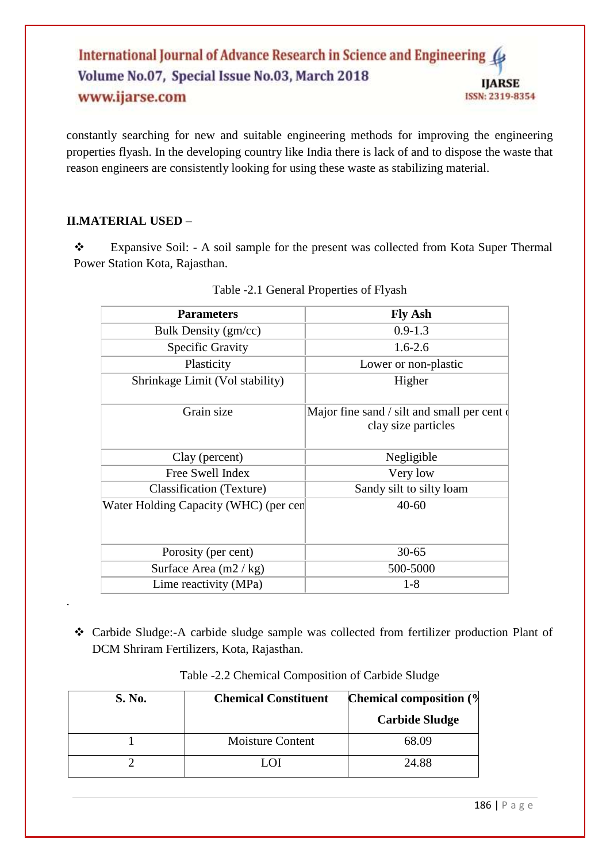#### International Journal of Advance Research in Science and Engineering Volume No.07, Special Issue No.03, March 2018 **IJARSE** www.ijarse.com ISSN: 2319-8354

constantly searching for new and suitable engineering methods for improving the engineering properties flyash. In the developing country like India there is lack of and to dispose the waste that reason engineers are consistently looking for using these waste as stabilizing material.

## **II.MATERIAL USED** –

.

\* Expansive Soil: - A soil sample for the present was collected from Kota Super Thermal Power Station Kota, Rajasthan.

| <b>Parameters</b>                     | <b>Fly Ash</b>                                                      |  |  |
|---------------------------------------|---------------------------------------------------------------------|--|--|
| Bulk Density (gm/cc)                  | $0.9 - 1.3$                                                         |  |  |
| <b>Specific Gravity</b>               | $1.6 - 2.6$                                                         |  |  |
| Plasticity                            | Lower or non-plastic                                                |  |  |
| Shrinkage Limit (Vol stability)       | Higher                                                              |  |  |
| Grain size                            | Major fine sand / silt and small per cent of<br>clay size particles |  |  |
| Clay (percent)                        | Negligible                                                          |  |  |
| Free Swell Index                      | Very low                                                            |  |  |
| Classification (Texture)              | Sandy silt to silty loam                                            |  |  |
| Water Holding Capacity (WHC) (per cen | $40 - 60$                                                           |  |  |
| Porosity (per cent)                   | $30 - 65$                                                           |  |  |
| Surface Area $(m2 / kg)$              | 500-5000                                                            |  |  |
| Lime reactivity (MPa)                 | 1-8                                                                 |  |  |

|  | Table -2.1 General Properties of Flyash |  |
|--|-----------------------------------------|--|

 Carbide Sludge:-A carbide sludge sample was collected from fertilizer production Plant of DCM Shriram Fertilizers, Kota, Rajasthan.

| S. No. | <b>Chemical Constituent</b> | <b>Chemical composition (%)</b> |
|--------|-----------------------------|---------------------------------|
|        |                             | <b>Carbide Sludge</b>           |
|        | <b>Moisture Content</b>     | 68.09                           |
|        | LO I                        | 24.88                           |

Table -2.2 Chemical Composition of Carbide Sludge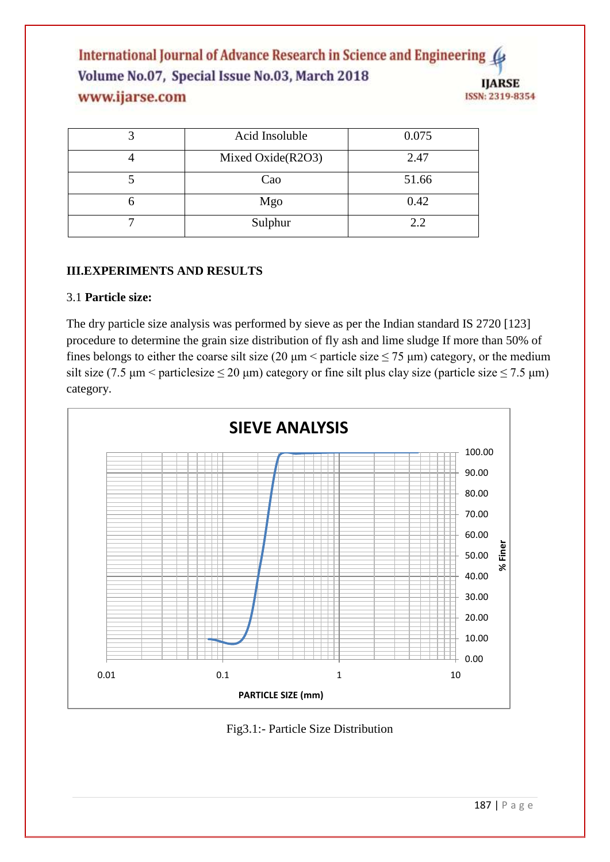International Journal of Advance Research in Science and Engineering ( Volume No.07, Special Issue No.03, March 2018 **IJARSE** www.ijarse.com ISSN: 2319-8354

| Acid Insoluble    | 0.075 |
|-------------------|-------|
| Mixed Oxide(R2O3) | 2.47  |
| Cao               | 51.66 |
| Mgo               | 0.42  |
| Sulphur           | 2.2   |

### **III.EXPERIMENTS AND RESULTS**

#### 3.1 **Particle size:**

The dry particle size analysis was performed by sieve as per the Indian standard IS 2720 [123] procedure to determine the grain size distribution of fly ash and lime sludge If more than 50% of fines belongs to either the coarse silt size (20  $\mu$ m < particle size  $\leq$  75  $\mu$ m) category, or the medium silt size (7.5  $\mu$ m < particlesize  $\leq$  20  $\mu$ m) category or fine silt plus clay size (particle size  $\leq$  7.5  $\mu$ m) category.



Fig3.1:- Particle Size Distribution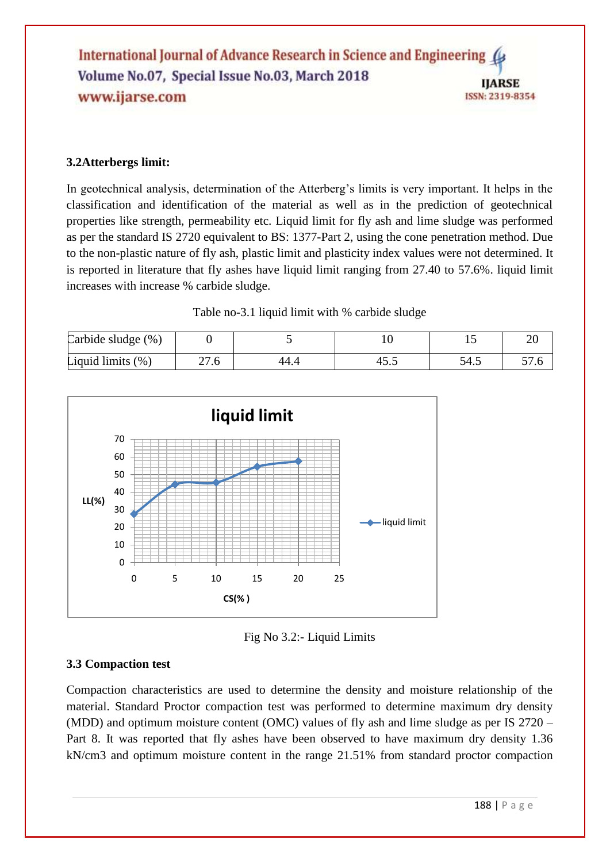## **3.2Atterbergs limit:**

In geotechnical analysis, determination of the Atterberg's limits is very important. It helps in the classification and identification of the material as well as in the prediction of geotechnical properties like strength, permeability etc. Liquid limit for fly ash and lime sludge was performed as per the standard IS 2720 equivalent to BS: 1377-Part 2, using the cone penetration method. Due to the non-plastic nature of fly ash, plastic limit and plasticity index values were not determined. It is reported in literature that fly ashes have liquid limit ranging from 27.40 to 57.6%. liquid limit increases with increase % carbide sludge.

Table no-3.1 liquid limit with % carbide sludge

| Carbide sludge (%)   |            |      |   |      | ∠∪     |
|----------------------|------------|------|---|------|--------|
| Liquid limits $(\%)$ | 77<br>21.0 | 44.4 | ⊤ | 54.5 | J I .U |



Fig No 3.2:- Liquid Limits

## **3.3 Compaction test**

Compaction characteristics are used to determine the density and moisture relationship of the material. Standard Proctor compaction test was performed to determine maximum dry density (MDD) and optimum moisture content (OMC) values of fly ash and lime sludge as per IS 2720 – Part 8. It was reported that fly ashes have been observed to have maximum dry density 1.36 kN/cm3 and optimum moisture content in the range 21.51% from standard proctor compaction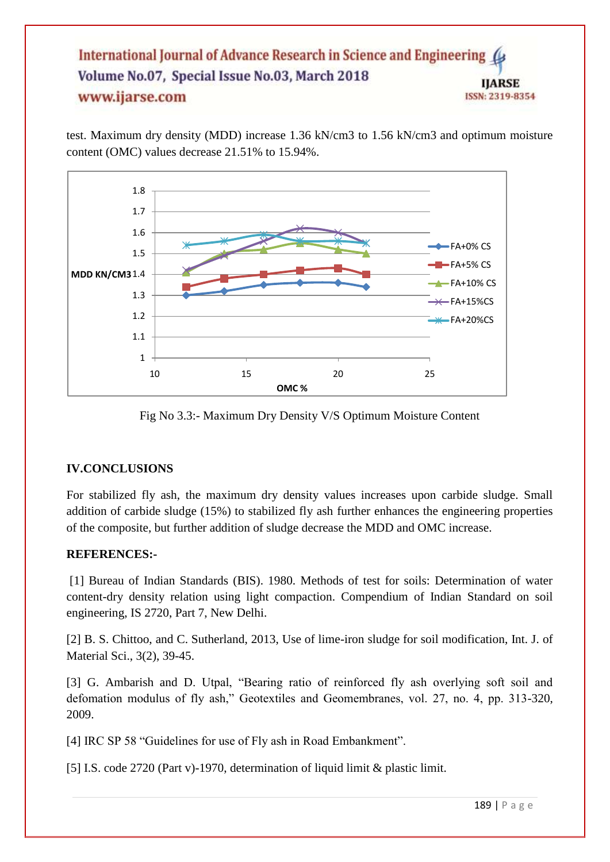#### International Journal of Advance Research in Science and Engineering Volume No.07, Special Issue No.03, March 2018 **IJARSE** www.ijarse.com ISSN: 2319-8354

test. Maximum dry density (MDD) increase 1.36 kN/cm3 to 1.56 kN/cm3 and optimum moisture content (OMC) values decrease 21.51% to 15.94%.



Fig No 3.3:- Maximum Dry Density V/S Optimum Moisture Content

### **IV.CONCLUSIONS**

For stabilized fly ash, the maximum dry density values increases upon carbide sludge. Small addition of carbide sludge (15%) to stabilized fly ash further enhances the engineering properties of the composite, but further addition of sludge decrease the MDD and OMC increase.

### **REFERENCES:-**

[1] Bureau of Indian Standards (BIS). 1980. Methods of test for soils: Determination of water content-dry density relation using light compaction. Compendium of Indian Standard on soil engineering, IS 2720, Part 7, New Delhi.

[2] B. S. Chittoo, and C. Sutherland, 2013, Use of lime-iron sludge for soil modification, Int. J. of Material Sci., 3(2), 39-45.

[3] G. Ambarish and D. Utpal, "Bearing ratio of reinforced fly ash overlying soft soil and defomation modulus of fly ash," Geotextiles and Geomembranes, vol. 27, no. 4, pp. 313-320, 2009.

[4] IRC SP 58 "Guidelines for use of Fly ash in Road Embankment".

[5] I.S. code 2720 (Part v)-1970, determination of liquid limit & plastic limit.